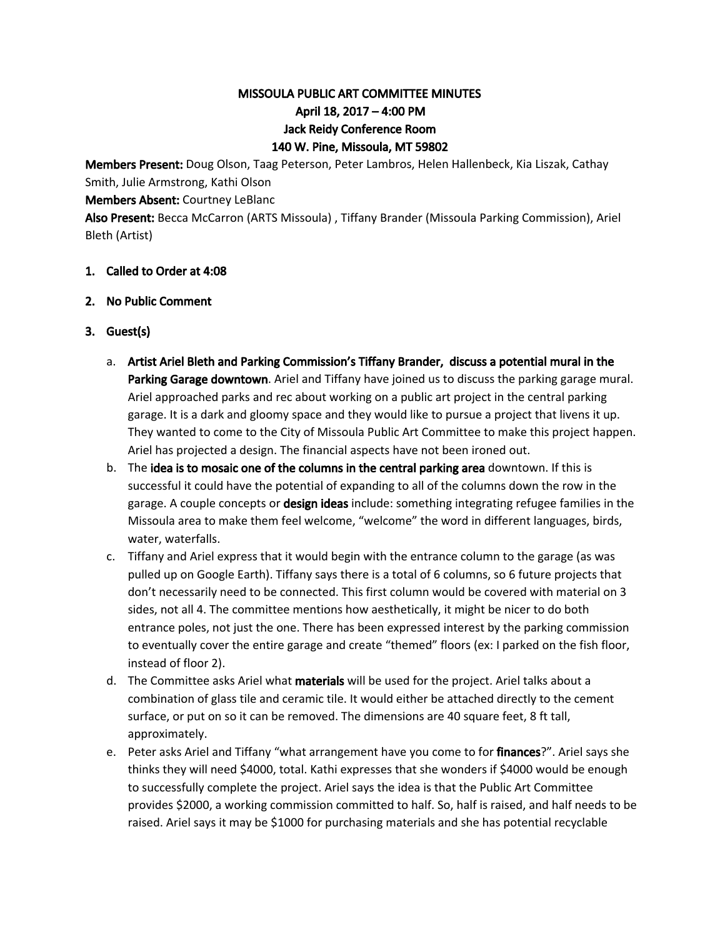# MISSOULA PUBLIC ART COMMITTEE MINUTES April 18, 2017 – 4:00 PM Jack Reidy Conference Room 140 W. Pine, Missoula, MT 59802

Members Present: Doug Olson, Taag Peterson, Peter Lambros, Helen Hallenbeck, Kia Liszak, Cathay Smith, Julie Armstrong, Kathi Olson

Members Absent: Courtney LeBlanc

Also Present: Becca McCarron (ARTS Missoula) , Tiffany Brander (Missoula Parking Commission), Ariel Bleth (Artist)

- 1. Called to Order at 4:08
- 2. No Public Comment
- 3. Guest(s)
	- a. Artist Ariel Bleth and Parking Commission's Tiffany Brander, discuss a potential mural in the Parking Garage downtown. Ariel and Tiffany have joined us to discuss the parking garage mural. Ariel approached parks and rec about working on a public art project in the central parking garage. It is a dark and gloomy space and they would like to pursue a project that livens it up. They wanted to come to the City of Missoula Public Art Committee to make this project happen. Ariel has projected a design. The financial aspects have not been ironed out.
	- b. The idea is to mosaic one of the columns in the central parking area downtown. If this is successful it could have the potential of expanding to all of the columns down the row in the garage. A couple concepts or design ideas include: something integrating refugee families in the Missoula area to make them feel welcome, "welcome" the word in different languages, birds, water, waterfalls.
	- c. Tiffany and Ariel express that it would begin with the entrance column to the garage (as was pulled up on Google Earth). Tiffany says there is a total of 6 columns, so 6 future projects that don't necessarily need to be connected. This first column would be covered with material on 3 sides, not all 4. The committee mentions how aesthetically, it might be nicer to do both entrance poles, not just the one. There has been expressed interest by the parking commission to eventually cover the entire garage and create "themed" floors (ex: I parked on the fish floor, instead of floor 2).
	- d. The Committee asks Ariel what materials will be used for the project. Ariel talks about a combination of glass tile and ceramic tile. It would either be attached directly to the cement surface, or put on so it can be removed. The dimensions are 40 square feet, 8 ft tall, approximately.
	- e. Peter asks Ariel and Tiffany "what arrangement have you come to for **finances**?". Ariel says she thinks they will need \$4000, total. Kathi expresses that she wonders if \$4000 would be enough to successfully complete the project. Ariel says the idea is that the Public Art Committee provides \$2000, a working commission committed to half. So, half is raised, and half needs to be raised. Ariel says it may be \$1000 for purchasing materials and she has potential recyclable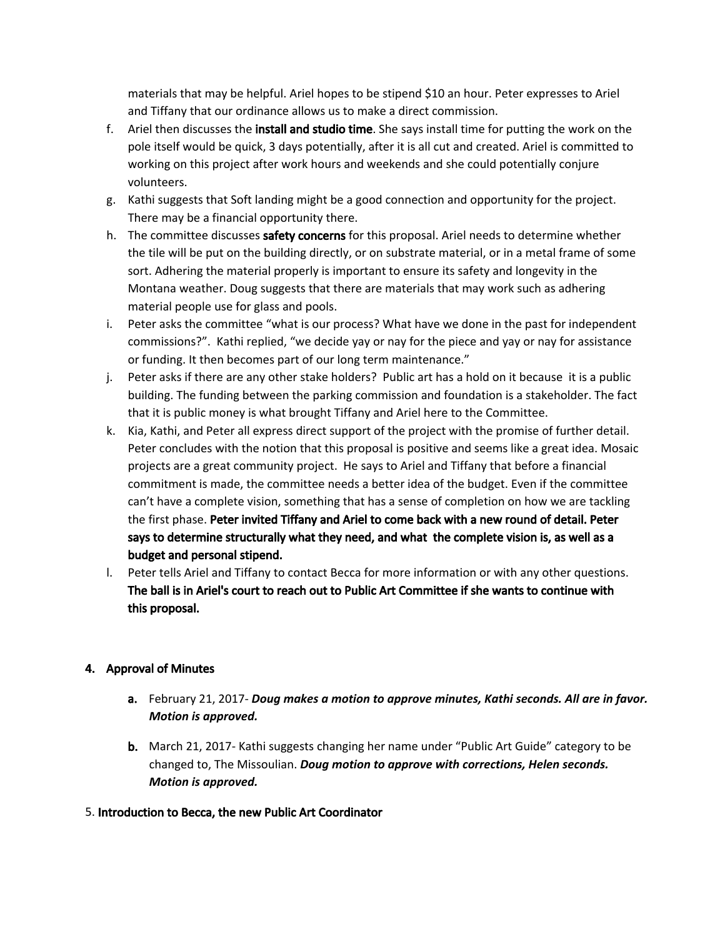materials that may be helpful. Ariel hopes to be stipend \$10 an hour. Peter expresses to Ariel and Tiffany that our ordinance allows us to make a direct commission.

- f. Ariel then discusses the install and studio time. She says install time for putting the work on the pole itself would be quick, 3 days potentially, after it is all cut and created. Ariel is committed to working on this project after work hours and weekends and she could potentially conjure volunteers.
- g. Kathi suggests that Soft landing might be a good connection and opportunity for the project. There may be a financial opportunity there.
- h. The committee discusses safety concerns for this proposal. Ariel needs to determine whether the tile will be put on the building directly, or on substrate material, or in a metal frame of some sort. Adhering the material properly is important to ensure its safety and longevity in the Montana weather. Doug suggests that there are materials that may work such as adhering material people use for glass and pools.
- i. Peter asks the committee "what is our process? What have we done in the past for independent commissions?". Kathi replied, "we decide yay or nay for the piece and yay or nay for assistance or funding. It then becomes part of our long term maintenance."
- j. Peter asks if there are any other stake holders? Public art has a hold on it because it is a public building. The funding between the parking commission and foundation is a stakeholder. The fact that it is public money is what brought Tiffany and Ariel here to the Committee.
- k. Kia, Kathi, and Peter all express direct support of the project with the promise of further detail. Peter concludes with the notion that this proposal is positive and seems like a great idea. Mosaic projects are a great community project. He says to Ariel and Tiffany that before a financial commitment is made, the committee needs a better idea of the budget. Even if the committee can't have a complete vision, something that has a sense of completion on how we are tackling the first phase. Peter invited Tiffany and Ariel to come back with a new round of detail. Peter says to determine structurally what they need, and what the complete vision is, as well as a budget and personal stipend.
- l. Peter tells Ariel and Tiffany to contact Becca for more information or with any other questions. The ball is in Ariel's court to reach out to Public Art Committee if she wants to continue with this proposal.

## 4. Approval of Minutes

- a. February 21, 2017- *Doug makes a motion to approve minutes, Kathi seconds. All are in favor. Motion is approved.*
- **b.** March 21, 2017- Kathi suggests changing her name under "Public Art Guide" category to be changed to, The Missoulian. *Doug motion to approve with corrections, Helen seconds. Motion is approved.*
- 5. Introduction to Becca, the new Public Art Coordinator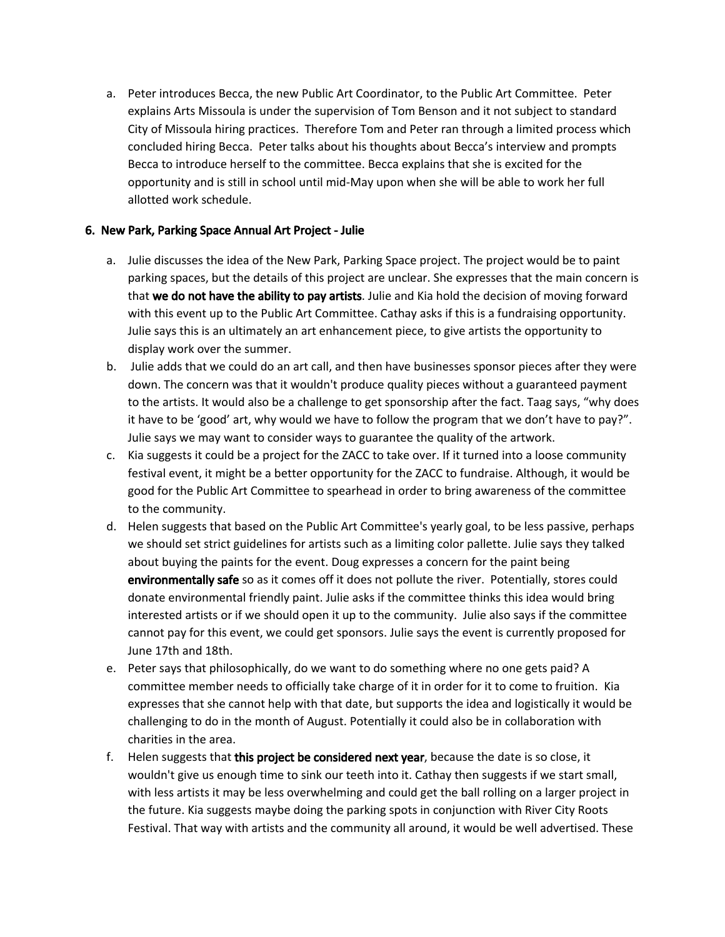a. Peter introduces Becca, the new Public Art Coordinator, to the Public Art Committee. Peter explains Arts Missoula is under the supervision of Tom Benson and it not subject to standard City of Missoula hiring practices. Therefore Tom and Peter ran through a limited process which concluded hiring Becca. Peter talks about his thoughts about Becca's interview and prompts Becca to introduce herself to the committee. Becca explains that she is excited for the opportunity and is still in school until mid-May upon when she will be able to work her full allotted work schedule.

### 6. New Park, Parking Space Annual Art Project - Julie

- a. Julie discusses the idea of the New Park, Parking Space project. The project would be to paint parking spaces, but the details of this project are unclear. She expresses that the main concern is that we do not have the ability to pay artists. Julie and Kia hold the decision of moving forward with this event up to the Public Art Committee. Cathay asks if this is a fundraising opportunity. Julie says this is an ultimately an art enhancement piece, to give artists the opportunity to display work over the summer.
- b. Julie adds that we could do an art call, and then have businesses sponsor pieces after they were down. The concern was that it wouldn't produce quality pieces without a guaranteed payment to the artists. It would also be a challenge to get sponsorship after the fact. Taag says, "why does it have to be 'good' art, why would we have to follow the program that we don't have to pay?". Julie says we may want to consider ways to guarantee the quality of the artwork.
- c. Kia suggests it could be a project for the ZACC to take over. If it turned into a loose community festival event, it might be a better opportunity for the ZACC to fundraise. Although, it would be good for the Public Art Committee to spearhead in order to bring awareness of the committee to the community.
- d. Helen suggests that based on the Public Art Committee's yearly goal, to be less passive, perhaps we should set strict guidelines for artists such as a limiting color pallette. Julie says they talked about buying the paints for the event. Doug expresses a concern for the paint being environmentally safe so as it comes off it does not pollute the river. Potentially, stores could donate environmental friendly paint. Julie asks if the committee thinks this idea would bring interested artists or if we should open it up to the community. Julie also says if the committee cannot pay for this event, we could get sponsors. Julie says the event is currently proposed for June 17th and 18th.
- e. Peter says that philosophically, do we want to do something where no one gets paid? A committee member needs to officially take charge of it in order for it to come to fruition. Kia expresses that she cannot help with that date, but supports the idea and logistically it would be challenging to do in the month of August. Potentially it could also be in collaboration with charities in the area.
- f. Helen suggests that this project be considered next year, because the date is so close, it wouldn't give us enough time to sink our teeth into it. Cathay then suggests if we start small, with less artists it may be less overwhelming and could get the ball rolling on a larger project in the future. Kia suggests maybe doing the parking spots in conjunction with River City Roots Festival. That way with artists and the community all around, it would be well advertised. These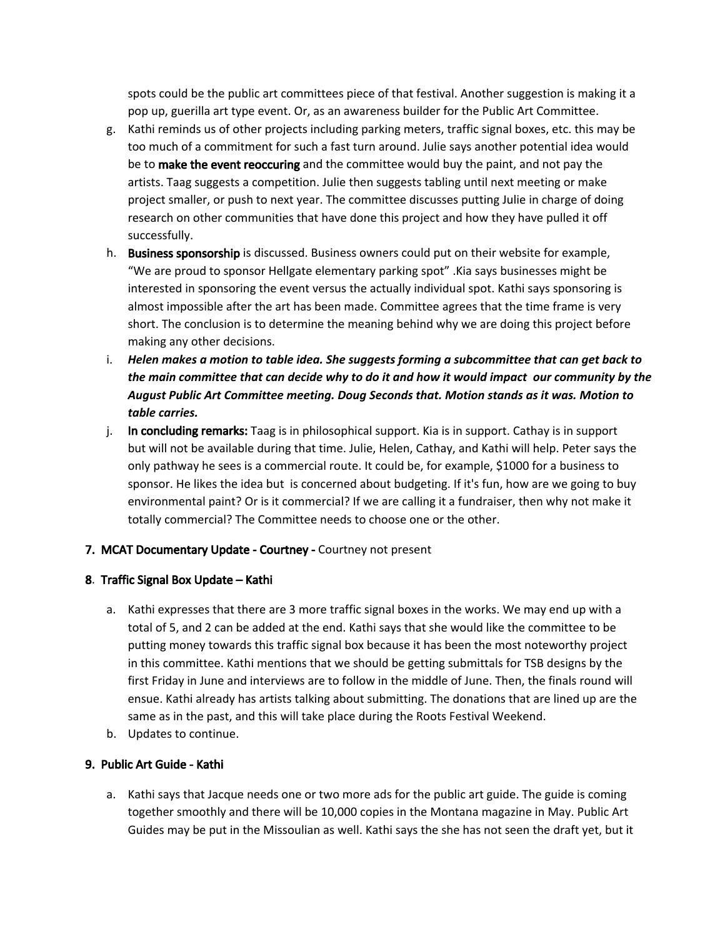spots could be the public art committees piece of that festival. Another suggestion is making it a pop up, guerilla art type event. Or, as an awareness builder for the Public Art Committee.

- g. Kathi reminds us of other projects including parking meters, traffic signal boxes, etc. this may be too much of a commitment for such a fast turn around. Julie says another potential idea would be to make the event reoccuring and the committee would buy the paint, and not pay the artists. Taag suggests a competition. Julie then suggests tabling until next meeting or make project smaller, or push to next year. The committee discusses putting Julie in charge of doing research on other communities that have done this project and how they have pulled it off successfully.
- h. Business sponsorship is discussed. Business owners could put on their website for example, "We are proud to sponsor Hellgate elementary parking spot" .Kia says businesses might be interested in sponsoring the event versus the actually individual spot. Kathi says sponsoring is almost impossible after the art has been made. Committee agrees that the time frame is very short. The conclusion is to determine the meaning behind why we are doing this project before making any other decisions.
- i. *Helen makes a motion to table idea. She suggests forming a subcommittee that can get back to* the main committee that can decide why to do it and how it would impact our community by the *August Public Art Committee meeting. Doug Seconds that. Motion stands as it was. Motion to table carries.*
- j. In concluding remarks: Taag is in philosophical support. Kia is in support. Cathay is in support but will not be available during that time. Julie, Helen, Cathay, and Kathi will help. Peter says the only pathway he sees is a commercial route. It could be, for example, \$1000 for a business to sponsor. He likes the idea but is concerned about budgeting. If it's fun, how are we going to buy environmental paint? Or is it commercial? If we are calling it a fundraiser, then why not make it totally commercial? The Committee needs to choose one or the other.

## 7. MCAT Documentary Update - Courtney - Courtney not present

#### 8. Traffic Signal Box Update – Kathi

- a. Kathi expresses that there are 3 more traffic signal boxes in the works. We may end up with a total of 5, and 2 can be added at the end. Kathi says that she would like the committee to be putting money towards this traffic signal box because it has been the most noteworthy project in this committee. Kathi mentions that we should be getting submittals for TSB designs by the first Friday in June and interviews are to follow in the middle of June. Then, the finals round will ensue. Kathi already has artists talking about submitting. The donations that are lined up are the same as in the past, and this will take place during the Roots Festival Weekend.
- b. Updates to continue.

#### 9. Public Art Guide - Kathi

a. Kathi says that Jacque needs one or two more ads for the public art guide. The guide is coming together smoothly and there will be 10,000 copies in the Montana magazine in May. Public Art Guides may be put in the Missoulian as well. Kathi says the she has not seen the draft yet, but it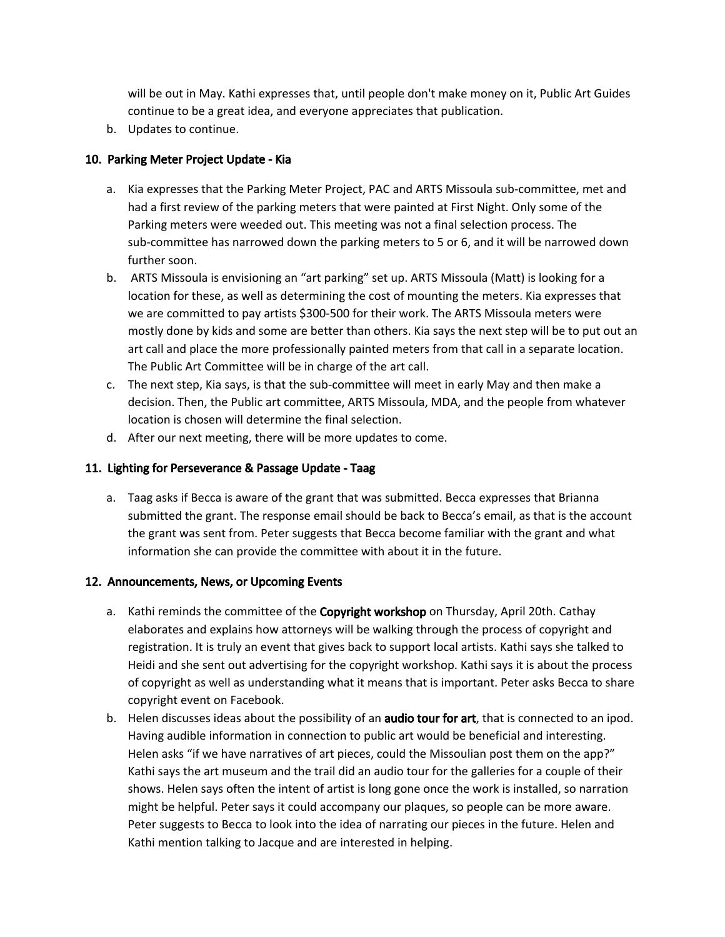will be out in May. Kathi expresses that, until people don't make money on it, Public Art Guides continue to be a great idea, and everyone appreciates that publication.

b. Updates to continue.

### 10. Parking Meter Project Update - Kia

- a. Kia expresses that the Parking Meter Project, PAC and ARTS Missoula sub-committee, met and had a first review of the parking meters that were painted at First Night. Only some of the Parking meters were weeded out. This meeting was not a final selection process. The sub-committee has narrowed down the parking meters to 5 or 6, and it will be narrowed down further soon.
- b. ARTS Missoula is envisioning an "art parking" set up. ARTS Missoula (Matt) is looking for a location for these, as well as determining the cost of mounting the meters. Kia expresses that we are committed to pay artists \$300-500 for their work. The ARTS Missoula meters were mostly done by kids and some are better than others. Kia says the next step will be to put out an art call and place the more professionally painted meters from that call in a separate location. The Public Art Committee will be in charge of the art call.
- c. The next step, Kia says, is that the sub-committee will meet in early May and then make a decision. Then, the Public art committee, ARTS Missoula, MDA, and the people from whatever location is chosen will determine the final selection.
- d. After our next meeting, there will be more updates to come.

#### 11. Lighting for Perseverance & Passage Update - Taag

a. Taag asks if Becca is aware of the grant that was submitted. Becca expresses that Brianna submitted the grant. The response email should be back to Becca's email, as that is the account the grant was sent from. Peter suggests that Becca become familiar with the grant and what information she can provide the committee with about it in the future.

#### 12. Announcements, News, or Upcoming Events

- a. Kathi reminds the committee of the Copyright workshop on Thursday, April 20th. Cathay elaborates and explains how attorneys will be walking through the process of copyright and registration. It is truly an event that gives back to support local artists. Kathi says she talked to Heidi and she sent out advertising for the copyright workshop. Kathi says it is about the process of copyright as well as understanding what it means that is important. Peter asks Becca to share copyright event on Facebook.
- b. Helen discusses ideas about the possibility of an **audio tour for art**, that is connected to an ipod. Having audible information in connection to public art would be beneficial and interesting. Helen asks "if we have narratives of art pieces, could the Missoulian post them on the app?" Kathi says the art museum and the trail did an audio tour for the galleries for a couple of their shows. Helen says often the intent of artist is long gone once the work is installed, so narration might be helpful. Peter says it could accompany our plaques, so people can be more aware. Peter suggests to Becca to look into the idea of narrating our pieces in the future. Helen and Kathi mention talking to Jacque and are interested in helping.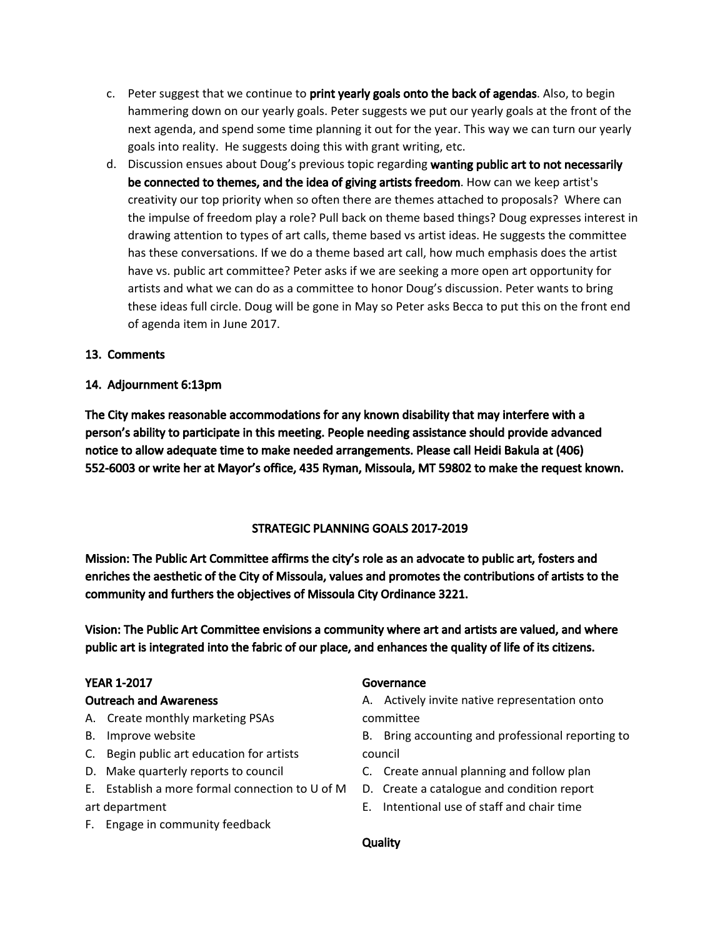- c. Peter suggest that we continue to **print yearly goals onto the back of agendas**. Also, to begin hammering down on our yearly goals. Peter suggests we put our yearly goals at the front of the next agenda, and spend some time planning it out for the year. This way we can turn our yearly goals into reality. He suggests doing this with grant writing, etc.
- d. Discussion ensues about Doug's previous topic regarding wanting public art to not necessarily be connected to themes, and the idea of giving artists freedom. How can we keep artist's creativity our top priority when so often there are themes attached to proposals? Where can the impulse of freedom play a role? Pull back on theme based things? Doug expresses interest in drawing attention to types of art calls, theme based vs artist ideas. He suggests the committee has these conversations. If we do a theme based art call, how much emphasis does the artist have vs. public art committee? Peter asks if we are seeking a more open art opportunity for artists and what we can do as a committee to honor Doug's discussion. Peter wants to bring these ideas full circle. Doug will be gone in May so Peter asks Becca to put this on the front end of agenda item in June 2017.

### 13. Comments

#### 14. Adjournment 6:13pm

The City makes reasonable accommodations for any known disability that may interfere with a person's ability to participate in this meeting. People needing assistance should provide advanced notice to allow adequate time to make needed arrangements. Please call Heidi Bakula at (406) 552-6003 or write her at Mayor's office, 435 Ryman, Missoula, MT 59802 to make the request known.

#### STRATEGIC PLANNING GOALS 2017-2019

Mission: The Public Art Committee affirms the city's role as an advocate to public art, fosters and enriches the aesthetic of the City of Missoula, values and promotes the contributions of artists to the community and furthers the objectives of Missoula City Ordinance 3221.

Vision: The Public Art Committee envisions a community where art and artists are valued, and where public art is integrated into the fabric of our place, and enhances the quality of life of its citizens.

### YEAR 1-2017

#### Outreach and Awareness

- A. Create monthly marketing PSAs
- B. Improve website
- C. Begin public art education for artists
- D. Make quarterly reports to council
- E. Establish a more formal connection to U of M D. Create a catalogue and condition report art department
- F. Engage in community feedback

#### Governance

A. Actively invite native representation onto committee

- B. Bring accounting and professional reporting to council
- C. Create annual planning and follow plan
- 
- E. Intentional use of staff and chair time

#### **Quality**